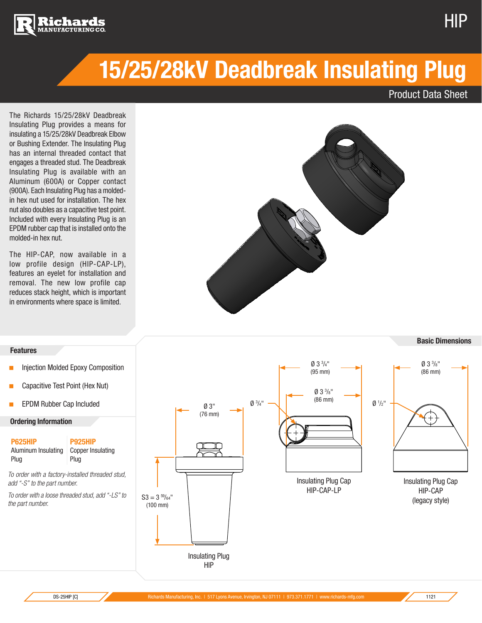



Product Data Sheet

HIP

The Richards 15/25/28kV Deadbreak Insulating Plug provides a means for insulating a 15/25/28kV Deadbreak Elbow or Bushing Extender. The Insulating Plug has an internal threaded contact that engages a threaded stud. The Deadbreak Insulating Plug is available with an Aluminum (600A) or Copper contact (900A). Each Insulating Plug has a moldedin hex nut used for installation. The hex nut also doubles as a capacitive test point. Included with every Insulating Plug is an EPDM rubber cap that is installed onto the molded-in hex nut.

The HIP-CAP, now available in a low profile design (HIP-CAP-LP), features an eyelet for installation and removal. The new low profile cap reduces stack height, which is important in environments where space is limited.





NEXT ASSY

PROHIBITED.